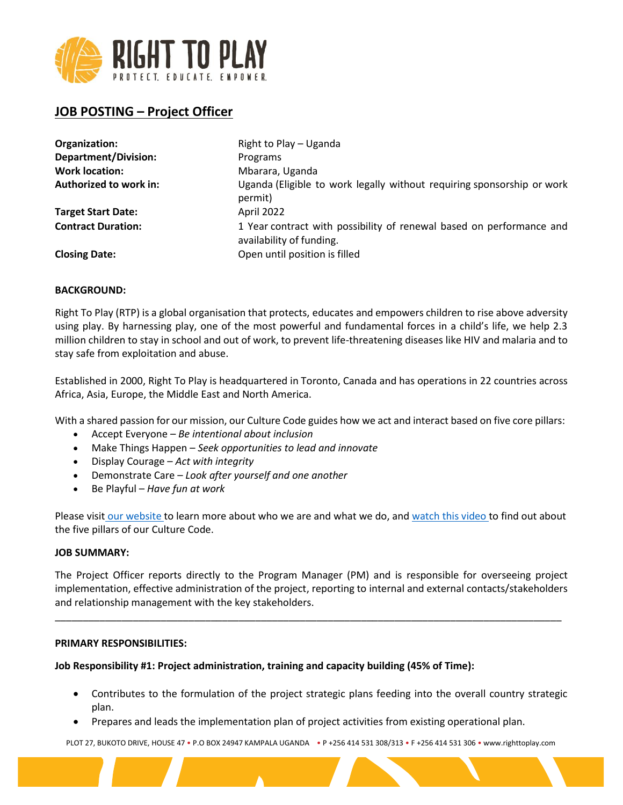

# **JOB POSTING – Project Officer**

| Organization:               | Right to Play - Uganda                                                                           |
|-----------------------------|--------------------------------------------------------------------------------------------------|
| <b>Department/Division:</b> | Programs                                                                                         |
| <b>Work location:</b>       | Mbarara, Uganda                                                                                  |
| Authorized to work in:      | Uganda (Eligible to work legally without requiring sponsorship or work<br>permit)                |
| <b>Target Start Date:</b>   | April 2022                                                                                       |
| <b>Contract Duration:</b>   | 1 Year contract with possibility of renewal based on performance and<br>availability of funding. |
| <b>Closing Date:</b>        | Open until position is filled                                                                    |

# **BACKGROUND:**

Right To Play (RTP) is a global organisation that protects, educates and empowers children to rise above adversity using play. By harnessing play, one of the most powerful and fundamental forces in a child's life, we help 2.3 million children to stay in school and out of work, to prevent life-threatening diseases like HIV and malaria and to stay safe from exploitation and abuse.

Established in 2000, Right To Play is headquartered in Toronto, Canada and has operations in 22 countries across Africa, Asia, Europe, the Middle East and North America.

With a shared passion for our mission, our Culture Code guides how we act and interact based on five core pillars:

- Accept Everyone *Be intentional about inclusion*
- Make Things Happen *Seek opportunities to lead and innovate*
- Display Courage *Act with integrity*
- Demonstrate Care *Look after yourself and one another*
- Be Playful *Have fun at work*

Please visit our website to learn more about who we are and what we do, and watch this video to find out about the five pillars of our Culture Code.

#### **JOB SUMMARY:**

The Project Officer reports directly to the Program Manager (PM) and is responsible for overseeing project implementation, effective administration of the project, reporting to internal and external contacts/stakeholders and relationship management with the key stakeholders.

\_\_\_\_\_\_\_\_\_\_\_\_\_\_\_\_\_\_\_\_\_\_\_\_\_\_\_\_\_\_\_\_\_\_\_\_\_\_\_\_\_\_\_\_\_\_\_\_\_\_\_\_\_\_\_\_\_\_\_\_\_\_\_\_\_\_\_\_\_\_\_\_\_\_\_\_\_\_\_\_\_\_\_\_\_\_\_\_\_\_\_

#### **PRIMARY RESPONSIBILITIES:**

#### **Job Responsibility #1: Project administration, training and capacity building (45% of Time):**

- Contributes to the formulation of the project strategic plans feeding into the overall country strategic plan.
- Prepares and leads the implementation plan of project activities from existing operational plan.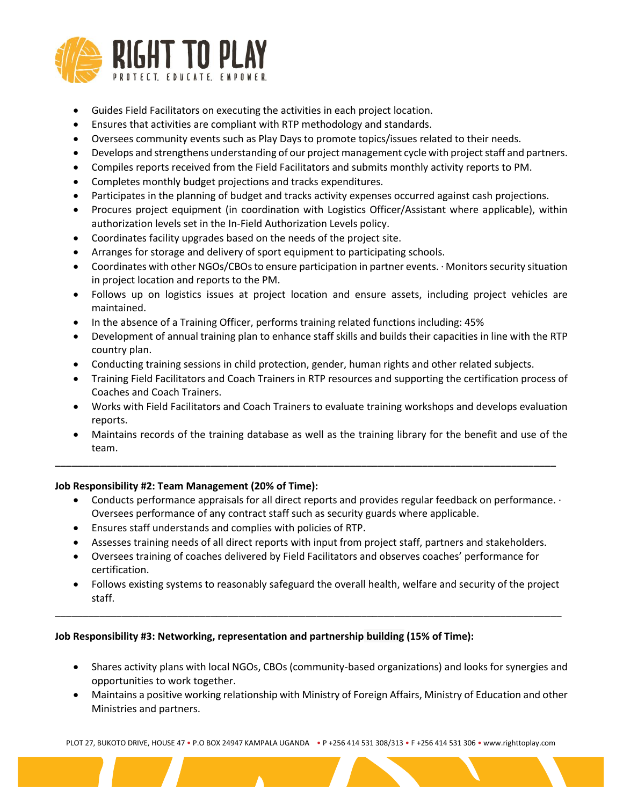

- Guides Field Facilitators on executing the activities in each project location.
- Ensures that activities are compliant with RTP methodology and standards.
- Oversees community events such as Play Days to promote topics/issues related to their needs.
- Develops and strengthens understanding of our project management cycle with project staff and partners.
- Compiles reports received from the Field Facilitators and submits monthly activity reports to PM.
- Completes monthly budget projections and tracks expenditures.
- Participates in the planning of budget and tracks activity expenses occurred against cash projections.
- Procures project equipment (in coordination with Logistics Officer/Assistant where applicable), within authorization levels set in the In-Field Authorization Levels policy.
- Coordinates facility upgrades based on the needs of the project site.
- Arranges for storage and delivery of sport equipment to participating schools.
- Coordinates with other NGOs/CBOs to ensure participation in partner events. · Monitors security situation in project location and reports to the PM.
- Follows up on logistics issues at project location and ensure assets, including project vehicles are maintained.
- In the absence of a Training Officer, performs training related functions including: 45%
- Development of annual training plan to enhance staff skills and builds their capacities in line with the RTP country plan.
- Conducting training sessions in child protection, gender, human rights and other related subjects.

**\_\_\_\_\_\_\_\_\_\_\_\_\_\_\_\_\_\_\_\_\_\_\_\_\_\_\_\_\_\_\_\_\_\_\_\_\_\_\_\_\_\_\_\_\_\_\_\_\_\_\_\_\_\_\_\_\_\_\_\_\_\_\_\_\_\_\_\_\_\_\_\_\_\_\_\_\_\_\_\_\_\_\_\_\_\_\_\_\_\_**

- Training Field Facilitators and Coach Trainers in RTP resources and supporting the certification process of Coaches and Coach Trainers.
- Works with Field Facilitators and Coach Trainers to evaluate training workshops and develops evaluation reports.
- Maintains records of the training database as well as the training library for the benefit and use of the team.

# **Job Responsibility #2: Team Management (20% of Time):**

- Conducts performance appraisals for all direct reports and provides regular feedback on performance. · Oversees performance of any contract staff such as security guards where applicable.
- Ensures staff understands and complies with policies of RTP.
- Assesses training needs of all direct reports with input from project staff, partners and stakeholders.
- Oversees training of coaches delivered by Field Facilitators and observes coaches' performance for certification.

\_\_\_\_\_\_\_\_\_\_\_\_\_\_\_\_\_\_\_\_\_\_\_\_\_\_\_\_\_\_\_\_\_\_\_\_\_\_\_\_\_\_\_\_\_\_\_\_\_\_\_\_\_\_\_\_\_\_\_\_\_\_\_\_\_\_\_\_\_\_\_\_\_\_\_\_\_\_\_\_\_\_\_\_\_\_\_\_\_\_\_

• Follows existing systems to reasonably safeguard the overall health, welfare and security of the project staff.

# **Job Responsibility #3: Networking, representation and partnership building (15% of Time):**

- Shares activity plans with local NGOs, CBOs (community-based organizations) and looks for synergies and opportunities to work together.
- Maintains a positive working relationship with Ministry of Foreign Affairs, Ministry of Education and other Ministries and partners.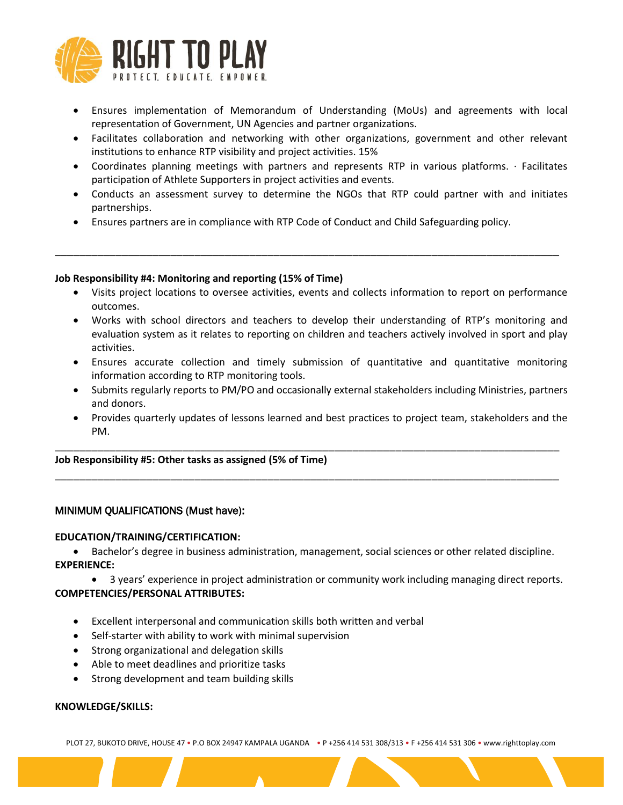

- Ensures implementation of Memorandum of Understanding (MoUs) and agreements with local representation of Government, UN Agencies and partner organizations.
- Facilitates collaboration and networking with other organizations, government and other relevant institutions to enhance RTP visibility and project activities. 15%
- Coordinates planning meetings with partners and represents RTP in various platforms. · Facilitates participation of Athlete Supporters in project activities and events.
- Conducts an assessment survey to determine the NGOs that RTP could partner with and initiates partnerships.
- Ensures partners are in compliance with RTP Code of Conduct and Child Safeguarding policy.

\_\_\_\_\_\_\_\_\_\_\_\_\_\_\_\_\_\_\_\_\_\_\_\_\_\_\_\_\_\_\_\_\_\_\_\_\_\_\_\_\_\_\_\_\_\_\_\_\_\_\_\_\_\_\_\_\_\_\_\_\_\_\_\_\_\_\_\_\_\_\_\_\_\_\_\_\_\_\_\_\_\_\_

#### **Job Responsibility #4: Monitoring and reporting (15% of Time)**

- Visits project locations to oversee activities, events and collects information to report on performance outcomes.
- Works with school directors and teachers to develop their understanding of RTP's monitoring and evaluation system as it relates to reporting on children and teachers actively involved in sport and play activities.
- Ensures accurate collection and timely submission of quantitative and quantitative monitoring information according to RTP monitoring tools.
- Submits regularly reports to PM/PO and occasionally external stakeholders including Ministries, partners and donors.
- Provides quarterly updates of lessons learned and best practices to project team, stakeholders and the PM.

\_\_\_\_\_\_\_\_\_\_\_\_\_\_\_\_\_\_\_\_\_\_\_\_\_\_\_\_\_\_\_\_\_\_\_\_\_\_\_\_\_\_\_\_\_\_\_\_\_\_\_\_\_\_\_\_\_\_\_\_\_\_\_\_\_\_\_\_\_\_\_\_\_\_\_\_\_\_\_\_\_\_\_

\_\_\_\_\_\_\_\_\_\_\_\_\_\_\_\_\_\_\_\_\_\_\_\_\_\_\_\_\_\_\_\_\_\_\_\_\_\_\_\_\_\_\_\_\_\_\_\_\_\_\_\_\_\_\_\_\_\_\_\_\_\_\_\_\_\_\_\_\_\_\_\_\_\_\_\_\_\_\_\_\_\_\_

#### **Job Responsibility #5: Other tasks as assigned (5% of Time)**

# MINIMUM QUALIFICATIONS (Must have):

# **EDUCATION/TRAINING/CERTIFICATION:**

• Bachelor's degree in business administration, management, social sciences or other related discipline. **EXPERIENCE:**

• 3 years' experience in project administration or community work including managing direct reports. **COMPETENCIES/PERSONAL ATTRIBUTES:**

- Excellent interpersonal and communication skills both written and verbal
- Self-starter with ability to work with minimal supervision
- Strong organizational and delegation skills
- Able to meet deadlines and prioritize tasks
- Strong development and team building skills

# **KNOWLEDGE/SKILLS:**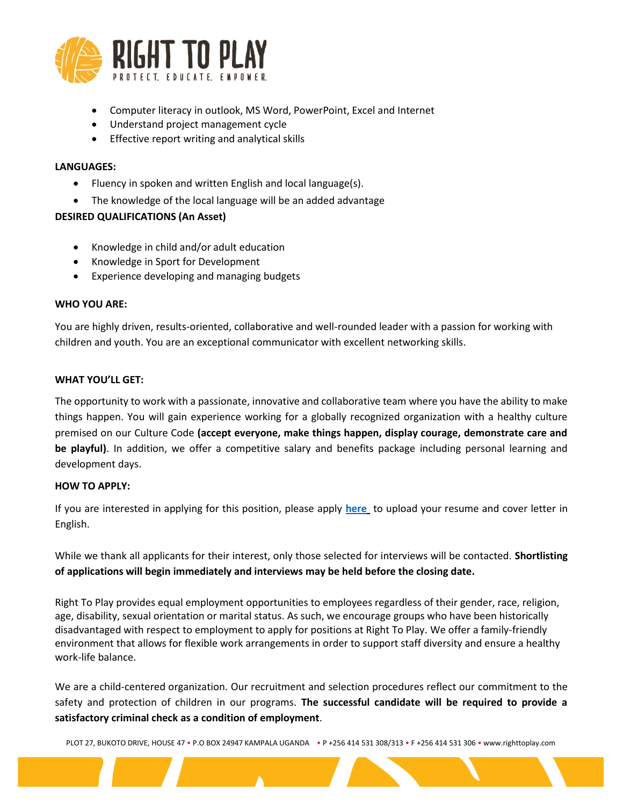

- Computer literacy in outlook, MS Word, PowerPoint, Excel and Internet
- Understand project management cycle
- Effective report writing and analytical skills

#### **LANGUAGES:**

- Fluency in spoken and written English and local language(s).
- The knowledge of the local language will be an added advantage

# **DESIRED QUALIFICATIONS (An Asset)**

- Knowledge in child and/or adult education
- Knowledge in Sport for Development
- Experience developing and managing budgets

#### **WHO YOU ARE:**

You are highly driven, results-oriented, collaborative and well-rounded leader with a passion for working with children and youth. You are an exceptional communicator with excellent networking skills.

# **WHAT YOU'LL GET:**

The opportunity to work with a passionate, innovative and collaborative team where you have the ability to make things happen. You will gain experience working for a globally recognized organization with a healthy culture premised on our Culture Code **(accept everyone, make things happen, display courage, demonstrate care and be playful)**. In addition, we offer a competitive salary and benefits package including personal learning and development days.

# **HOW TO APPLY:**

If you are interested in applying for this position, please apply **[here](https://righttoplay.hiringplatform.ca/54588-project-officer-mbarara-uganda/189710-application-form/en)** to upload your resume and cover letter in English.

While we thank all applicants for their interest, only those selected for interviews will be contacted. **Shortlisting of applications will begin immediately and interviews may be held before the closing date.**

Right To Play provides equal employment opportunities to employees regardless of their gender, race, religion, age, disability, sexual orientation or marital status. As such, we encourage groups who have been historically disadvantaged with respect to employment to apply for positions at Right To Play. We offer a family-friendly environment that allows for flexible work arrangements in order to support staff diversity and ensure a healthy work-life balance.

We are a child-centered organization. Our recruitment and selection procedures reflect our commitment to the safety and protection of children in our programs. **The successful candidate will be required to provide a satisfactory criminal check as a condition of employment**.